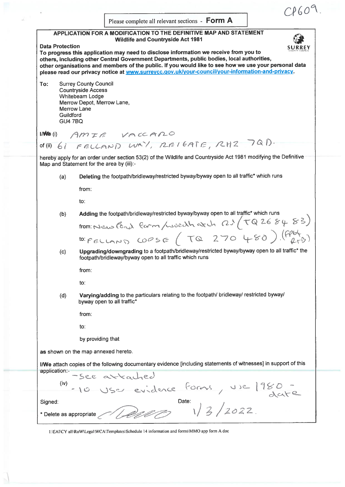$CPGO^Q$ Please complete all relevant sections - Form A APPLICATION FOR A MODIFICATION TO THE DEFINITIVE MAP AND STATEMENT Wildlife and Countryside Act 1981 Data Protection SURREY To progress this application may need to disclose information we receive from you to others, including other Central Government Departments, public bodies, local authorities, other organisations and members of the public. If you would like to see how we use your persona<sup>l</sup> data <sup>p</sup>lease read our privacy notice at www.surreycc.gov.uk/your-council/your-information-and-privacy. To: Surrey County Council Countryside Access Whitebeam Lodge Merrow Depot, Merrow Lane, Merrow Lane Guildford GU4 7BQ AMIE VACCARO lM(i) of (ii)  $61$  FELLAND WAY, REIGATE, RHZ 7QD. hereby apply for an order under section 53(2) of the Wildlife and Countryside Act <sup>1981</sup> modifying the Definitive Map and Statement for the area by (iii):-(a) Deleting the footpath/bridleway/restricted byway/byway open to all traffic\* which runs from: to: (b) Adding the footpath/bridleway/restricted byway/byway open to all traffic\* which runs from: News Percy form / would have the RJ ( $TQ268483)$  $to:$   $peron$   $\circ$   $co$   $\circ$   $se$   $($   $To$   $270$   $480)$   $(6964)$ (c) Upgradingldowngrading to <sup>a</sup> footpath/bridleway/restricted byway/byway open to all trafflc\* the footpath/bridleway/byway open to all traffic which runs from: to: (d) Varyingladding to the particulars relating to the footpath/ bridleway/ restricted byway/ byway open to all traffic\* from: to: by providing that as shown on the map annexed hereto. I/We attach copies of the following documentary evidence [including statements of witnesses] in support of this application:- -see arrached (iv)  $\vee$  Use  $19$ 10 USC evid Signed: Date:  $\sqrt{1/2}$  Date:  $\sqrt{2}$  / 2022 \* Delete as appropriate

T:\EAI\CY all\R0W\Legal\WCA\Iemplates\Schedule <sup>14</sup> information and tbrms\MMO app form Adoc